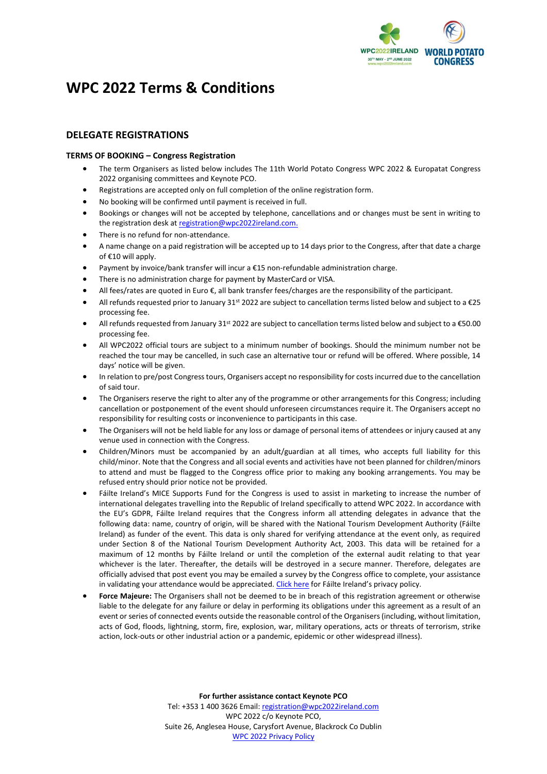

# **WPC 2022 Terms & Conditions**

## **DELEGATE REGISTRATIONS**

## **TERMS OF BOOKING – Congress Registration**

- The term Organisers as listed below includes The 11th World Potato Congress WPC 2022 & Europatat Congress 2022 organising committees and Keynote PCO.
- Registrations are accepted only on full completion of the online registration form.
- No booking will be confirmed until payment is received in full.
- Bookings or changes will not be accepted by telephone, cancellations and or changes must be sent in writing to the registration desk at [registration@wpc2022ireland.com.](mailto:registration@wpc2022ireland.com)
- There is no refund for non-attendance.
- A name change on a paid registration will be accepted up to 14 days prior to the Congress, after that date a charge of €10 will apply.
- Payment by invoice/bank transfer will incur a €15 non-refundable administration charge.
- There is no administration charge for payment by MasterCard or VISA.
- All fees/rates are quoted in Euro €, all bank transfer fees/charges are the responsibility of the participant.
- All refunds requested prior to January 31st 2022 are subject to cancellation terms listed below and subject to a  $\epsilon$ 25 processing fee.
- All refunds requested from January 31<sup>st</sup> 2022 are subject to cancellation terms listed below and subject to a €50.00 processing fee.
- All WPC2022 official tours are subject to a minimum number of bookings. Should the minimum number not be reached the tour may be cancelled, in such case an alternative tour or refund will be offered. Where possible, 14 days' notice will be given.
- In relation to pre/post Congress tours, Organisers accept no responsibility for costs incurred due to the cancellation of said tour.
- The Organisers reserve the right to alter any of the programme or other arrangements for this Congress; including cancellation or postponement of the event should unforeseen circumstances require it. The Organisers accept no responsibility for resulting costs or inconvenience to participants in this case.
- The Organisers will not be held liable for any loss or damage of personal items of attendees or injury caused at any venue used in connection with the Congress.
- Children/Minors must be accompanied by an adult/guardian at all times, who accepts full liability for this child/minor. Note that the Congress and all social events and activities have not been planned for children/minors to attend and must be flagged to the Congress office prior to making any booking arrangements. You may be refused entry should prior notice not be provided.
- Fáilte Ireland's MICE Supports Fund for the Congress is used to assist in marketing to increase the number of international delegates travelling into the Republic of Ireland specifically to attend WPC 2022. In accordance with the EU's GDPR, Fáilte Ireland requires that the Congress inform all attending delegates in advance that the following data: name, country of origin, will be shared with the National Tourism Development Authority (Fáilte Ireland) as funder of the event. This data is only shared for verifying attendance at the event only, as required under Section 8 of the National Tourism Development Authority Act, 2003. This data will be retained for a maximum of 12 months by Fáilte Ireland or until the completion of the external audit relating to that year whichever is the later. Thereafter, the details will be destroyed in a secure manner. Therefore, delegates are officially advised that post event you may be emailed a survey by the Congress office to complete, your assistance in validating your attendance would be appreciated. [Click here](http://www.failteireland.ie/Footer/Data-Protection.aspx) for Fáilte Ireland's privacy policy.
- **Force Majeure:** The Organisers shall not be deemed to be in breach of this registration agreement or otherwise liable to the delegate for any failure or delay in performing its obligations under this agreement as a result of an event or series of connected events outside the reasonable control of the Organisers (including, without limitation, acts of God, floods, lightning, storm, fire, explosion, war, military operations, acts or threats of terrorism, strike action, lock-outs or other industrial action or a pandemic, epidemic or other widespread illness).

**For further assistance contact Keynote PCO** Tel: +353 1 400 3626 Email: [registration@wpc2022ireland.com](mailto:registration@wpc2022ireland.com) WPC 2022 c/o Keynote PCO, Suite 26, Anglesea House, Carysfort Avenue, Blackrock Co Dublin [WPC 2022 Privacy Policy](https://wpc2022ireland.com/privacy-and-cookies/)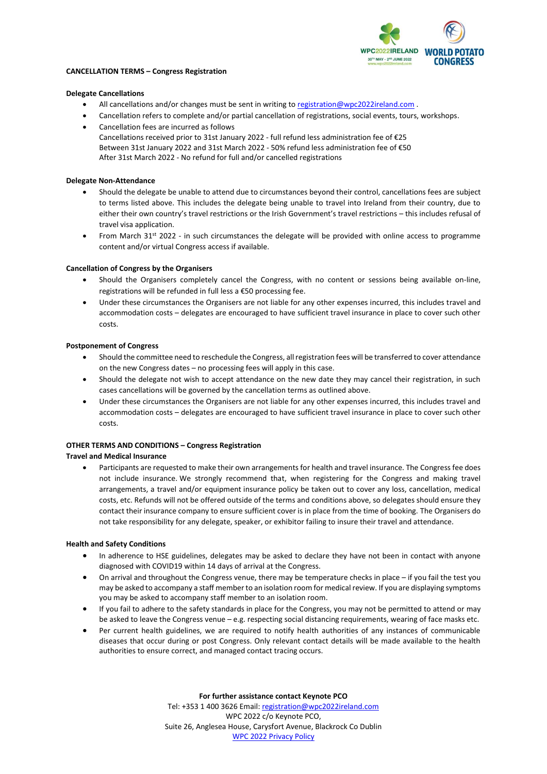

#### **CANCELLATION TERMS – Congress Registration**

#### **Delegate Cancellations**

- All cancellations and/or changes must be sent in writing to [registration@wpc2022ireland.com](mailto:registration@wpc2022ireland.com) .
- Cancellation refers to complete and/or partial cancellation of registrations, social events, tours, workshops.
- Cancellation fees are incurred as follows Cancellations received prior to 31st January 2022 - full refund less administration fee of €25 Between 31st January 2022 and 31st March 2022 - 50% refund less administration fee of €50 After 31st March 2022 - No refund for full and/or cancelled registrations

#### **Delegate Non-Attendance**

- Should the delegate be unable to attend due to circumstances beyond their control, cancellations fees are subject to terms listed above. This includes the delegate being unable to travel into Ireland from their country, due to either their own country's travel restrictions or the Irish Government's travel restrictions – this includes refusal of travel visa application.
- From March 31st 2022 in such circumstances the delegate will be provided with online access to programme content and/or virtual Congress access if available.

#### **Cancellation of Congress by the Organisers**

- Should the Organisers completely cancel the Congress, with no content or sessions being available on-line, registrations will be refunded in full less a €50 processing fee.
- Under these circumstances the Organisers are not liable for any other expenses incurred, this includes travel and accommodation costs – delegates are encouraged to have sufficient travel insurance in place to cover such other costs.

#### **Postponement of Congress**

- Should the committee need to reschedule the Congress, all registration fees will be transferred to cover attendance on the new Congress dates – no processing fees will apply in this case.
- Should the delegate not wish to accept attendance on the new date they may cancel their registration, in such cases cancellations will be governed by the cancellation terms as outlined above.
- Under these circumstances the Organisers are not liable for any other expenses incurred, this includes travel and accommodation costs – delegates are encouraged to have sufficient travel insurance in place to cover such other costs.

### **OTHER TERMS AND CONDITIONS – Congress Registration**

#### **Travel and Medical Insurance**

• Participants are requested to make their own arrangements for health and travel insurance. The Congress fee does not include insurance. We strongly recommend that, when registering for the Congress and making travel arrangements, a travel and/or equipment insurance policy be taken out to cover any loss, cancellation, medical costs, etc. Refunds will not be offered outside of the terms and conditions above, so delegates should ensure they contact their insurance company to ensure sufficient cover is in place from the time of booking. The Organisers do not take responsibility for any delegate, speaker, or exhibitor failing to insure their travel and attendance.

#### **Health and Safety Conditions**

- In adherence to HSE guidelines, delegates may be asked to declare they have not been in contact with anyone diagnosed with COVID19 within 14 days of arrival at the Congress.
- On arrival and throughout the Congress venue, there may be temperature checks in place if you fail the test you may be asked to accompany a staff member to an isolation room for medical review. If you are displaying symptoms you may be asked to accompany staff member to an isolation room.
- If you fail to adhere to the safety standards in place for the Congress, you may not be permitted to attend or may be asked to leave the Congress venue – e.g. respecting social distancing requirements, wearing of face masks etc.
- Per current health guidelines, we are required to notify health authorities of any instances of communicable diseases that occur during or post Congress. Only relevant contact details will be made available to the health authorities to ensure correct, and managed contact tracing occurs.

**For further assistance contact Keynote PCO**

Tel: +353 1 400 3626 Email: [registration@wpc2022ireland.com](mailto:registration@wpc2022ireland.com) WPC 2022 c/o Keynote PCO, Suite 26, Anglesea House, Carysfort Avenue, Blackrock Co Dublin [WPC 2022 Privacy Policy](https://wpc2022ireland.com/privacy-and-cookies/)